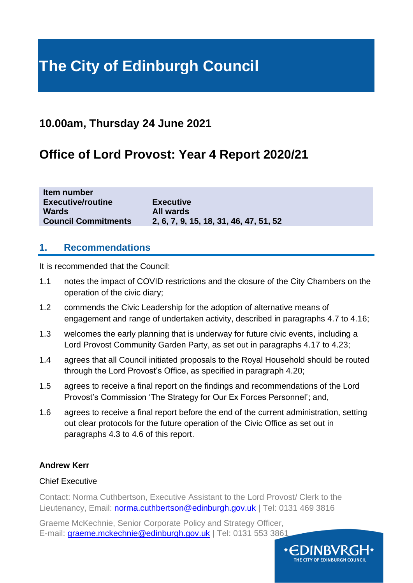# **The City of Edinburgh Council**

# **10.00am, Thursday 24 June 2021**

# **Office of Lord Provost: Year 4 Report 2020/21**

| IWIII HUIHIVU              |                                        |
|----------------------------|----------------------------------------|
| <b>Executive/routine</b>   | <b>Executive</b>                       |
| <b>Wards</b>               | All wards                              |
| <b>Council Commitments</b> | 2, 6, 7, 9, 15, 18, 31, 46, 47, 51, 52 |
|                            |                                        |

### **1. Recommendations**

**Item number**

It is recommended that the Council:

- 1.1 notes the impact of COVID restrictions and the closure of the City Chambers on the operation of the civic diary;
- 1.2 commends the Civic Leadership for the adoption of alternative means of engagement and range of undertaken activity, described in paragraphs 4.7 to 4.16;
- 1.3 welcomes the early planning that is underway for future civic events, including a Lord Provost Community Garden Party, as set out in paragraphs 4.17 to 4.23;
- 1.4 agrees that all Council initiated proposals to the Royal Household should be routed through the Lord Provost's Office, as specified in paragraph 4.20;
- 1.5 agrees to receive a final report on the findings and recommendations of the Lord Provost's Commission 'The Strategy for Our Ex Forces Personnel'; and,
- 1.6 agrees to receive a final report before the end of the current administration, setting out clear protocols for the future operation of the Civic Office as set out in paragraphs 4.3 to 4.6 of this report.

#### **Andrew Kerr**

#### Chief Executive

Contact: Norma Cuthbertson, Executive Assistant to the Lord Provost/ Clerk to the Lieutenancy, Email: [norma.cuthbertson@edinburgh.gov.uk](mailto:norma.cuthbertson@edinburgh.gov.uk) | Tel: 0131 469 3816

Graeme McKechnie, Senior Corporate Policy and Strategy Officer, E-mail: [graeme.mckechnie@edinburgh.gov.uk](mailto:graeme.mckechnie@edinburgh.gov.uk) | Tel: 0131 553 3861

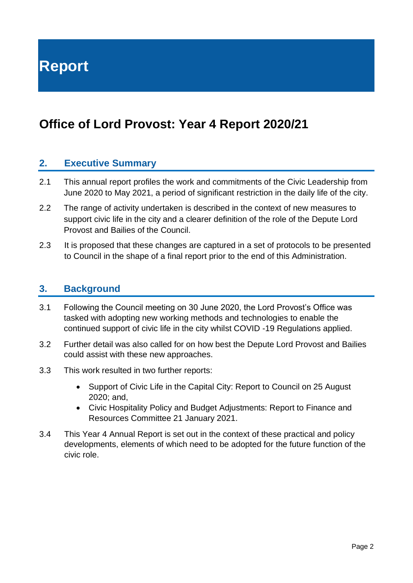**Report**

# **Office of Lord Provost: Year 4 Report 2020/21**

### **2. Executive Summary**

- 2.1 This annual report profiles the work and commitments of the Civic Leadership from June 2020 to May 2021, a period of significant restriction in the daily life of the city.
- 2.2 The range of activity undertaken is described in the context of new measures to support civic life in the city and a clearer definition of the role of the Depute Lord Provost and Bailies of the Council.
- 2.3 It is proposed that these changes are captured in a set of protocols to be presented to Council in the shape of a final report prior to the end of this Administration.

#### **3. Background**

- 3.1 Following the Council meeting on 30 June 2020, the Lord Provost's Office was tasked with adopting new working methods and technologies to enable the continued support of civic life in the city whilst COVID -19 Regulations applied.
- 3.2 Further detail was also called for on how best the Depute Lord Provost and Bailies could assist with these new approaches.
- 3.3 This work resulted in two further reports:
	- Support of Civic Life in the Capital City: Report to Council on 25 August 2020; and,
	- Civic Hospitality Policy and Budget Adjustments: Report to Finance and Resources Committee 21 January 2021.
- 3.4 This Year 4 Annual Report is set out in the context of these practical and policy developments, elements of which need to be adopted for the future function of the civic role.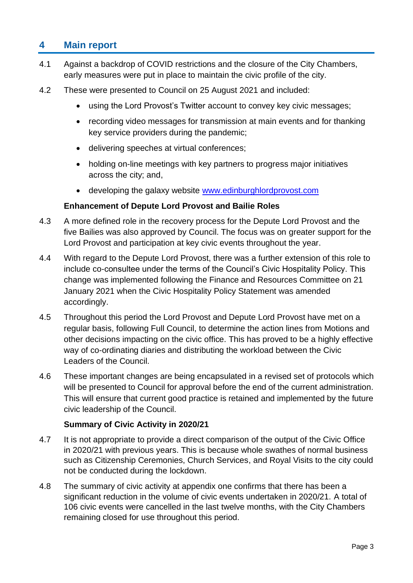# **4 Main report**

- 4.1 Against a backdrop of COVID restrictions and the closure of the City Chambers, early measures were put in place to maintain the civic profile of the city.
- 4.2 These were presented to Council on 25 August 2021 and included:
	- using the Lord Provost's Twitter account to convey key civic messages;
	- recording video messages for transmission at main events and for thanking key service providers during the pandemic;
	- delivering speeches at virtual conferences;
	- holding on-line meetings with key partners to progress major initiatives across the city; and,
	- developing the galaxy website [www.edinburghlordprovost.com](http://www.edinburghlordprovost.com/)

#### **Enhancement of Depute Lord Provost and Bailie Roles**

- 4.3 A more defined role in the recovery process for the Depute Lord Provost and the five Bailies was also approved by Council. The focus was on greater support for the Lord Provost and participation at key civic events throughout the year.
- 4.4 With regard to the Depute Lord Provost, there was a further extension of this role to include co-consultee under the terms of the Council's Civic Hospitality Policy. This change was implemented following the Finance and Resources Committee on 21 January 2021 when the Civic Hospitality Policy Statement was amended accordingly.
- 4.5 Throughout this period the Lord Provost and Depute Lord Provost have met on a regular basis, following Full Council, to determine the action lines from Motions and other decisions impacting on the civic office. This has proved to be a highly effective way of co-ordinating diaries and distributing the workload between the Civic Leaders of the Council.
- 4.6 These important changes are being encapsulated in a revised set of protocols which will be presented to Council for approval before the end of the current administration. This will ensure that current good practice is retained and implemented by the future civic leadership of the Council.

#### **Summary of Civic Activity in 2020/21**

- 4.7 It is not appropriate to provide a direct comparison of the output of the Civic Office in 2020/21 with previous years. This is because whole swathes of normal business such as Citizenship Ceremonies, Church Services, and Royal Visits to the city could not be conducted during the lockdown.
- 4.8 The summary of civic activity at appendix one confirms that there has been a significant reduction in the volume of civic events undertaken in 2020/21. A total of 106 civic events were cancelled in the last twelve months, with the City Chambers remaining closed for use throughout this period.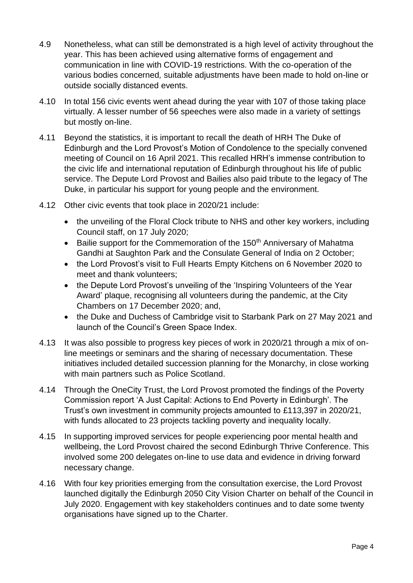- 4.9 Nonetheless, what can still be demonstrated is a high level of activity throughout the year. This has been achieved using alternative forms of engagement and communication in line with COVID-19 restrictions. With the co-operation of the various bodies concerned*,* suitable adjustments have been made to hold on-line or outside socially distanced events.
- 4.10 In total 156 civic events went ahead during the year with 107 of those taking place virtually. A lesser number of 56 speeches were also made in a variety of settings but mostly on-line.
- 4.11 Beyond the statistics, it is important to recall the death of HRH The Duke of Edinburgh and the Lord Provost's Motion of Condolence to the specially convened meeting of Council on 16 April 2021. This recalled HRH's immense contribution to the civic life and international reputation of Edinburgh throughout his life of public service. The Depute Lord Provost and Bailies also paid tribute to the legacy of The Duke, in particular his support for young people and the environment.
- 4.12 Other civic events that took place in 2020/21 include:
	- the unveiling of the Floral Clock tribute to NHS and other key workers, including Council staff, on 17 July 2020;
	- Bailie support for the Commemoration of the 150<sup>th</sup> Anniversary of Mahatma Gandhi at Saughton Park and the Consulate General of India on 2 October;
	- the Lord Provost's visit to Full Hearts Empty Kitchens on 6 November 2020 to meet and thank volunteers;
	- the Depute Lord Provost's unveiling of the 'Inspiring Volunteers of the Year Award' plaque, recognising all volunteers during the pandemic, at the City Chambers on 17 December 2020; and,
	- the Duke and Duchess of Cambridge visit to Starbank Park on 27 May 2021 and launch of the Council's Green Space Index.
- 4.13 It was also possible to progress key pieces of work in 2020/21 through a mix of online meetings or seminars and the sharing of necessary documentation. These initiatives included detailed succession planning for the Monarchy, in close working with main partners such as Police Scotland.
- 4.14 Through the OneCity Trust, the Lord Provost promoted the findings of the Poverty Commission report 'A Just Capital: Actions to End Poverty in Edinburgh'. The Trust's own investment in community projects amounted to £113,397 in 2020/21, with funds allocated to 23 projects tackling poverty and inequality locally.
- 4.15 In supporting improved services for people experiencing poor mental health and wellbeing, the Lord Provost chaired the second Edinburgh Thrive Conference. This involved some 200 delegates on-line to use data and evidence in driving forward necessary change.
- 4.16 With four key priorities emerging from the consultation exercise, the Lord Provost launched digitally the Edinburgh 2050 City Vision Charter on behalf of the Council in July 2020. Engagement with key stakeholders continues and to date some twenty organisations have signed up to the Charter.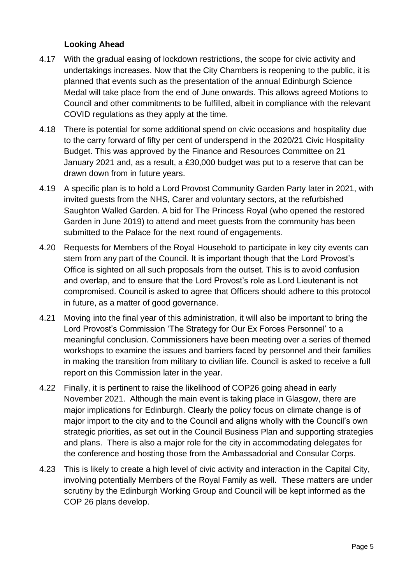#### **Looking Ahead**

- 4.17 With the gradual easing of lockdown restrictions, the scope for civic activity and undertakings increases. Now that the City Chambers is reopening to the public, it is planned that events such as the presentation of the annual Edinburgh Science Medal will take place from the end of June onwards. This allows agreed Motions to Council and other commitments to be fulfilled, albeit in compliance with the relevant COVID regulations as they apply at the time.
- 4.18 There is potential for some additional spend on civic occasions and hospitality due to the carry forward of fifty per cent of underspend in the 2020/21 Civic Hospitality Budget. This was approved by the Finance and Resources Committee on 21 January 2021 and, as a result, a £30,000 budget was put to a reserve that can be drawn down from in future years.
- 4.19 A specific plan is to hold a Lord Provost Community Garden Party later in 2021, with invited guests from the NHS, Carer and voluntary sectors, at the refurbished Saughton Walled Garden. A bid for The Princess Royal (who opened the restored Garden in June 2019) to attend and meet guests from the community has been submitted to the Palace for the next round of engagements.
- 4.20 Requests for Members of the Royal Household to participate in key city events can stem from any part of the Council. It is important though that the Lord Provost's Office is sighted on all such proposals from the outset. This is to avoid confusion and overlap, and to ensure that the Lord Provost's role as Lord Lieutenant is not compromised. Council is asked to agree that Officers should adhere to this protocol in future, as a matter of good governance.
- 4.21 Moving into the final year of this administration, it will also be important to bring the Lord Provost's Commission 'The Strategy for Our Ex Forces Personnel' to a meaningful conclusion. Commissioners have been meeting over a series of themed workshops to examine the issues and barriers faced by personnel and their families in making the transition from military to civilian life. Council is asked to receive a full report on this Commission later in the year.
- 4.22 Finally, it is pertinent to raise the likelihood of COP26 going ahead in early November 2021. Although the main event is taking place in Glasgow, there are major implications for Edinburgh. Clearly the policy focus on climate change is of major import to the city and to the Council and aligns wholly with the Council's own strategic priorities, as set out in the Council Business Plan and supporting strategies and plans. There is also a major role for the city in accommodating delegates for the conference and hosting those from the Ambassadorial and Consular Corps.
- 4.23 This is likely to create a high level of civic activity and interaction in the Capital City, involving potentially Members of the Royal Family as well. These matters are under scrutiny by the Edinburgh Working Group and Council will be kept informed as the COP 26 plans develop.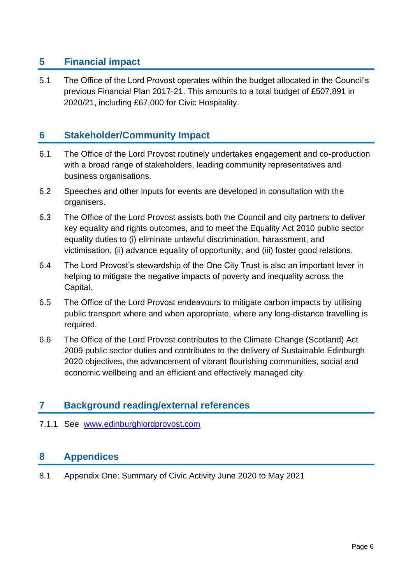# **5 Financial impact**

5.1 The Office of the Lord Provost operates within the budget allocated in the Council's previous Financial Plan 2017-21. This amounts to a total budget of £507,891 in 2020/21, including £67,000 for Civic Hospitality.

# **6 Stakeholder/Community Impact**

- 6.1 The Office of the Lord Provost routinely undertakes engagement and co-production with a broad range of stakeholders, leading community representatives and business organisations.
- 6.2 Speeches and other inputs for events are developed in consultation with the organisers.
- 6.3 The Office of the Lord Provost assists both the Council and city partners to deliver key equality and rights outcomes, and to meet the Equality Act 2010 public sector equality duties to (i) eliminate unlawful discrimination, harassment, and victimisation, (ii) advance equality of opportunity, and (iii) foster good relations.
- 6.4 The Lord Provost's stewardship of the One City Trust is also an important lever in helping to mitigate the negative impacts of poverty and inequality across the Capital.
- 6.5 The Office of the Lord Provost endeavours to mitigate carbon impacts by utilising public transport where and when appropriate, where any long-distance travelling is required.
- 6.6 The Office of the Lord Provost contributes to the Climate Change (Scotland) Act 2009 public sector duties and contributes to the delivery of Sustainable Edinburgh 2020 objectives, the advancement of vibrant flourishing communities, social and economic wellbeing and an efficient and effectively managed city.

# **7 Background reading/external references**

#### 7.1.1 See [www.edinburghlordprovost.com](http://www.edinburghlordprovost.com/)

### **8 Appendices**

8.1 Appendix One: Summary of Civic Activity June 2020 to May 2021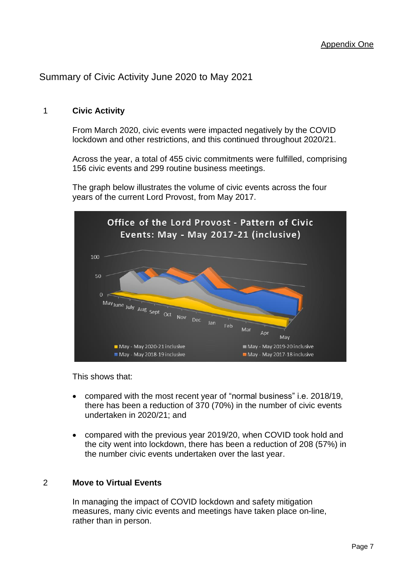## Summary of Civic Activity June 2020 to May 2021

#### 1 **Civic Activity**

From March 2020, civic events were impacted negatively by the COVID lockdown and other restrictions, and this continued throughout 2020/21.

Across the year, a total of 455 civic commitments were fulfilled, comprising 156 civic events and 299 routine business meetings.

The graph below illustrates the volume of civic events across the four years of the current Lord Provost, from May 2017.



This shows that:

- compared with the most recent year of "normal business" i.e. 2018/19, there has been a reduction of 370 (70%) in the number of civic events undertaken in 2020/21; and
- compared with the previous year 2019/20, when COVID took hold and the city went into lockdown, there has been a reduction of 208 (57%) in the number civic events undertaken over the last year.

#### 2 **Move to Virtual Events**

In managing the impact of COVID lockdown and safety mitigation measures, many civic events and meetings have taken place on-line, rather than in person.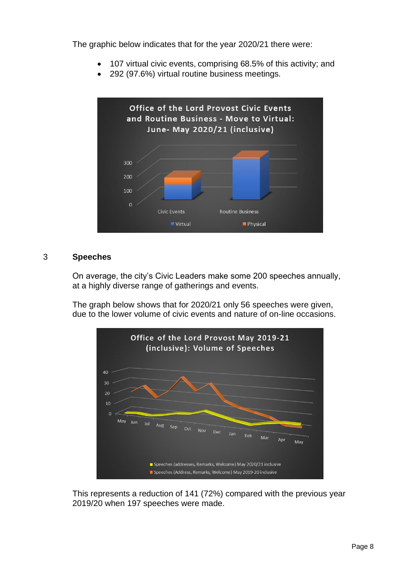The graphic below indicates that for the year 2020/21 there were:

- 107 virtual civic events, comprising 68.5% of this activity; and
- 292 (97.6%) virtual routine business meetings.



#### 3 **Speeches**

On average, the city's Civic Leaders make some 200 speeches annually, at a highly diverse range of gatherings and events.

The graph below shows that for 2020/21 only 56 speeches were given, due to the lower volume of civic events and nature of on-line occasions.



This represents a reduction of 141 (72%) compared with the previous year 2019/20 when 197 speeches were made.